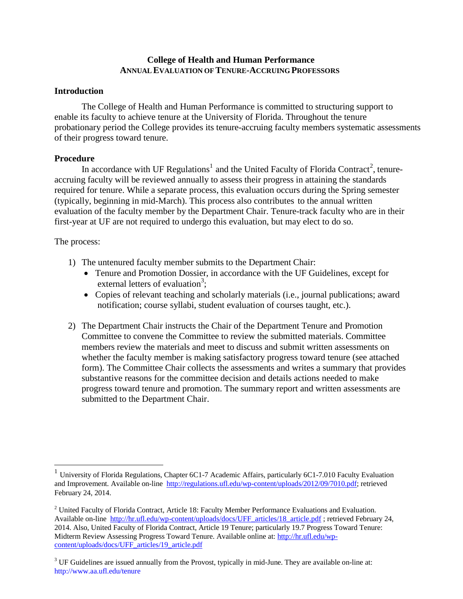## **College of Health and Human Performance ANNUAL EVALUATION OFTENURE-ACCRUING PROFESSORS**

### **Introduction**

The College of Health and Human Performance is committed to structuring support to enable its faculty to achieve tenure at the University of Florida. Throughout the tenure probationary period the College provides its tenure-accruing faculty members systematic assessments of their progress toward tenure.

### **Procedure**

In accordance with UF Regulations<sup>1</sup> and the United Faculty of Florida Contract<sup>2</sup>, tenureaccruing faculty will be reviewed annually to assess their progress in attaining the standards required for tenure. While a separate process, this evaluation occurs during the Spring semester (typically, beginning in mid-March). This process also contributes to the annual written evaluation of the faculty member by the Department Chair. Tenure-track faculty who are in their first-year at UF are not required to undergo this evaluation, but may elect to do so.

### The process:

- 1) The untenured faculty member submits to the Department Chair:
	- Tenure and Promotion Dossier, in accordance with the UF Guidelines, except for external letters of evaluation<sup>3</sup>;
	- Copies of relevant teaching and scholarly materials (i.e., journal publications; award notification; course syllabi, student evaluation of courses taught, etc.).
- 2) The Department Chair instructs the Chair of the Department Tenure and Promotion Committee to convene the Committee to review the submitted materials. Committee members review the materials and meet to discuss and submit written assessments on whether the faculty member is making satisfactory progress toward tenure (see attached form). The Committee Chair collects the assessments and writes a summary that provides substantive reasons for the committee decision and details actions needed to make progress toward tenure and promotion. The summary report and written assessments are submitted to the Department Chair.

<sup>1</sup> University of Florida Regulations, Chapter 6C1-7 Academic Affairs, particularly 6C1-7.010 Faculty Evaluation and Improvement. Available on-line [http://regulations.ufl.edu/wp-content/uploads/2012/09/7010.pdf;](http://regulations.ufl.edu/wp-content/uploads/2012/09/7010.pdf) retrieved February 24, 2014.

<sup>&</sup>lt;sup>2</sup> United Faculty of Florida Contract, Article 18: Faculty Member Performance Evaluations and Evaluation. Available on-line [http://hr.ufl.edu/wp-content/uploads/docs/UFF\\_articles/18\\_article.pdf](http://hr.ufl.edu/wp-content/uploads/docs/UFF_articles/18_article.pdf) ; retrieved February 24, 2014. Also, United Faculty of Florida Contract, Article 19 Tenure; particularly 19.7 Progress Toward Tenure: Midterm Review Assessing Progress Toward Tenure. Available online at: [http://hr.ufl.edu/wp](http://hr.ufl.edu/wp-content/uploads/docs/UFF_articles/19_article.pdf)[content/uploads/docs/UFF\\_articles/19\\_article.pdf](http://hr.ufl.edu/wp-content/uploads/docs/UFF_articles/19_article.pdf)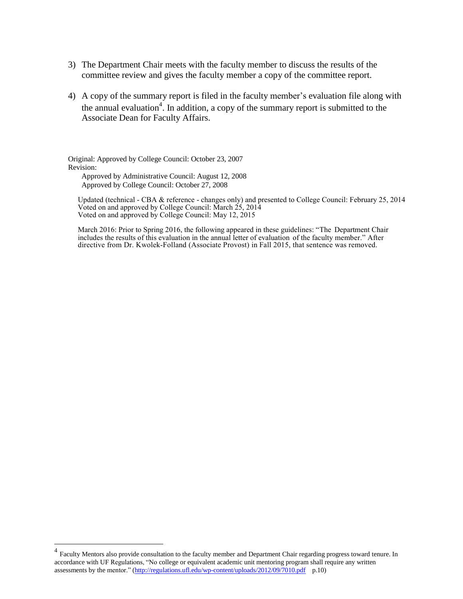- 3) The Department Chair meets with the faculty member to discuss the results of the committee review and gives the faculty member a copy of the committee report.
- 4) A copy of the summary report is filed in the faculty member's evaluation file along with the annual evaluation<sup>[4](#page-1-0)</sup>. In addition, a copy of the summary report is submitted to the Associate Dean for Faculty Affairs.

Original: Approved by College Council: October 23, 2007 Revision: Approved by Administrative Council: August 12, 2008 Approved by College Council: October 27, 2008

Updated (technical - CBA & reference - changes only) and presented to College Council: February 25, 2014 Voted on and approved by College Council: March 25, 2014 Voted on and approved by College Council: May 12, 2015

March 2016: Prior to Spring 2016, the following appeared in these guidelines: "The Department Chair includes the results of this evaluation in the annual letter of evaluation of the faculty member." After directive from Dr. Kwolek-Folland (Associate Provost) in Fall 2015, that sentence was removed.

<span id="page-1-0"></span><sup>&</sup>lt;sup>4</sup> Faculty Mentors also provide consultation to the faculty member and Department Chair regarding progress toward tenure. In accordance with UF Regulations, "No college or equivalent academic unit mentoring program shall require any written assessments by the mentor." [\(http://regulations.ufl.edu/wp-content/uploads/2012/09/7010.pdf](http://regulations.ufl.edu/wp-content/uploads/2012/09/7010.pdf) p.10)